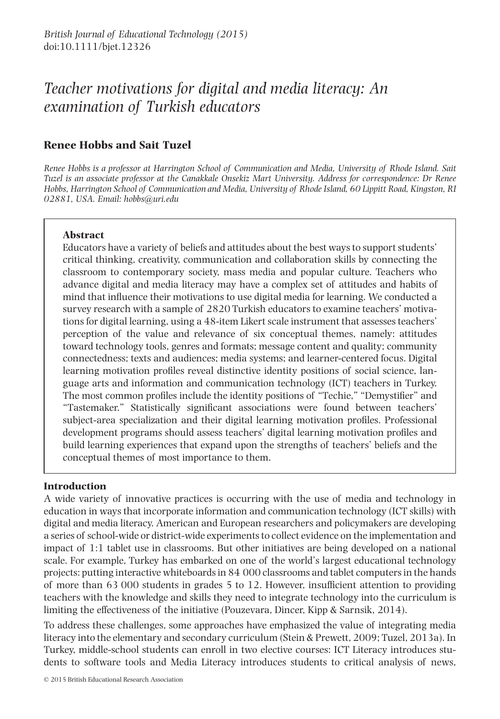# *Teacher motivations for digital and media literacy: An examination of Turkish educators*

## **Renee Hobbs and Sait Tuzel**

*Renee Hobbs is a professor at Harrington School of Communication and Media, University of Rhode Island. Sait Tuzel is an associate professor at the Canakkale Onsekiz Mart University. Address for correspondence: Dr Renee Hobbs, Harrington School of Communication and Media, University of Rhode Island, 60 Lippitt Road, Kingston, RI 02881, USA. Email: hobbs@uri.edu*

## **Abstract**

Educators have a variety of beliefs and attitudes about the best ways to support students' critical thinking, creativity, communication and collaboration skills by connecting the classroom to contemporary society, mass media and popular culture. Teachers who advance digital and media literacy may have a complex set of attitudes and habits of mind that influence their motivations to use digital media for learning. We conducted a survey research with a sample of 2820 Turkish educators to examine teachers' motivations for digital learning, using a 48-item Likert scale instrument that assesses teachers' perception of the value and relevance of six conceptual themes, namely: attitudes toward technology tools, genres and formats; message content and quality; community connectedness; texts and audiences; media systems; and learner-centered focus. Digital learning motivation profiles reveal distinctive identity positions of social science, language arts and information and communication technology (ICT) teachers in Turkey. The most common profiles include the identity positions of "Techie," "Demystifier" and "Tastemaker." Statistically significant associations were found between teachers' subject-area specialization and their digital learning motivation profiles. Professional development programs should assess teachers' digital learning motivation profiles and build learning experiences that expand upon the strengths of teachers' beliefs and the conceptual themes of most importance to them.

## **Introduction**

A wide variety of innovative practices is occurring with the use of media and technology in education in ways that incorporate information and communication technology (ICT skills) with digital and media literacy. American and European researchers and policymakers are developing a series of school-wide or district-wide experiments to collect evidence on the implementation and impact of 1:1 tablet use in classrooms. But other initiatives are being developed on a national scale. For example, Turkey has embarked on one of the world's largest educational technology projects: putting interactive whiteboards in 84 000 classrooms and tablet computers in the hands of more than 63 000 students in grades 5 to 12. However, insufficient attention to providing teachers with the knowledge and skills they need to integrate technology into the curriculum is limiting the effectiveness of the initiative (Pouzevara, Dincer, Kipp & Sarnsik, 2014).

To address these challenges, some approaches have emphasized the value of integrating media literacy into the elementary and secondary curriculum (Stein & Prewett, 2009; Tuzel, 2013a). In Turkey, middle-school students can enroll in two elective courses: ICT Literacy introduces students to software tools and Media Literacy introduces students to critical analysis of news,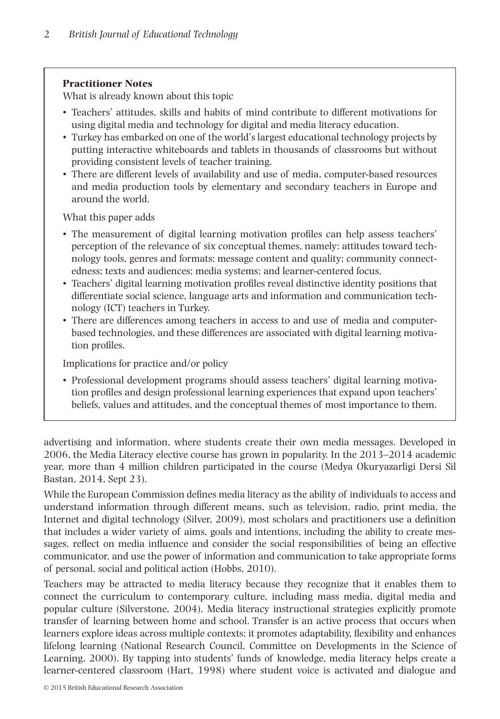## **Practitioner Notes**

What is already known about this topic

- Teachers' attitudes, skills and habits of mind contribute to different motivations for using digital media and technology for digital and media literacy education.
- Turkey has embarked on one of the world's largest educational technology projects by putting interactive whiteboards and tablets in thousands of classrooms but without providing consistent levels of teacher training.
- There are different levels of availability and use of media, computer-based resources and media production tools by elementary and secondary teachers in Europe and around the world.

What this paper adds

- The measurement of digital learning motivation profiles can help assess teachers' perception of the relevance of six conceptual themes, namely: attitudes toward technology tools, genres and formats; message content and quality; community connectedness; texts and audiences; media systems; and learner-centered focus.
- Teachers' digital learning motivation profiles reveal distinctive identity positions that differentiate social science, language arts and information and communication technology (ICT) teachers in Turkey.
- There are differences among teachers in access to and use of media and computerbased technologies, and these differences are associated with digital learning motivation profiles.

Implications for practice and/or policy

• Professional development programs should assess teachers' digital learning motivation profiles and design professional learning experiences that expand upon teachers' beliefs, values and attitudes, and the conceptual themes of most importance to them.

advertising and information, where students create their own media messages. Developed in 2006, the Media Literacy elective course has grown in popularity. In the 2013–2014 academic year, more than 4 million children participated in the course (Medya Okuryazarligi Dersi Sil Bastan, 2014, Sept 23).

While the European Commission defines media literacy as the ability of individuals to access and understand information through different means, such as television, radio, print media, the Internet and digital technology (Silver, 2009), most scholars and practitioners use a definition that includes a wider variety of aims, goals and intentions, including the ability to create messages, reflect on media influence and consider the social responsibilities of being an effective communicator, and use the power of information and communication to take appropriate forms of personal, social and political action (Hobbs, 2010).

Teachers may be attracted to media literacy because they recognize that it enables them to connect the curriculum to contemporary culture, including mass media, digital media and popular culture (Silverstone, 2004). Media literacy instructional strategies explicitly promote transfer of learning between home and school. Transfer is an active process that occurs when learners explore ideas across multiple contexts; it promotes adaptability, flexibility and enhances lifelong learning (National Research Council, Committee on Developments in the Science of Learning, 2000). By tapping into students' funds of knowledge, media literacy helps create a learner-centered classroom (Hart, 1998) where student voice is activated and dialogue and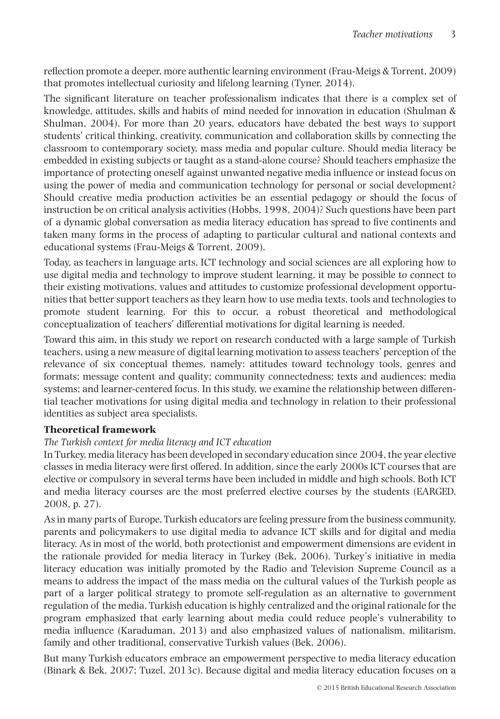reflection promote a deeper, more authentic learning environment (Frau-Meigs & Torrent, 2009) that promotes intellectual curiosity and lifelong learning (Tyner, 2014).

The significant literature on teacher professionalism indicates that there is a complex set of knowledge, attitudes, skills and habits of mind needed for innovation in education (Shulman & Shulman, 2004). For more than 20 years, educators have debated the best ways to support students' critical thinking, creativity, communication and collaboration skills by connecting the classroom to contemporary society, mass media and popular culture. Should media literacy be embedded in existing subjects or taught as a stand-alone course? Should teachers emphasize the importance of protecting oneself against unwanted negative media influence or instead focus on using the power of media and communication technology for personal or social development? Should creative media production activities be an essential pedagogy or should the focus of instruction be on critical analysis activities (Hobbs, 1998, 2004)? Such questions have been part of a dynamic global conversation as media literacy education has spread to five continents and taken many forms in the process of adapting to particular cultural and national contexts and educational systems (Frau-Meigs & Torrent, 2009).

Today, as teachers in language arts, ICT technology and social sciences are all exploring how to use digital media and technology to improve student learning, it may be possible to connect to their existing motivations, values and attitudes to customize professional development opportunities that better support teachers as they learn how to use media texts, tools and technologies to promote student learning. For this to occur, a robust theoretical and methodological conceptualization of teachers' differential motivations for digital learning is needed.

Toward this aim, in this study we report on research conducted with a large sample of Turkish teachers, using a new measure of digital learning motivation to assess teachers' perception of the relevance of six conceptual themes, namely: attitudes toward technology tools, genres and formats; message content and quality; community connectedness; texts and audiences; media systems; and learner-centered focus. In this study, we examine the relationship between differential teacher motivations for using digital media and technology in relation to their professional identities as subject area specialists.

## **Theoretical framework**

## *The Turkish context for media literacy and ICT education*

In Turkey, media literacy has been developed in secondary education since 2004, the year elective classes in media literacy were first offered. In addition, since the early 2000s ICT courses that are elective or compulsory in several terms have been included in middle and high schools. Both ICT and media literacy courses are the most preferred elective courses by the students (EARGED, 2008, p. 27).

As in many parts of Europe, Turkish educators are feeling pressure from the business community, parents and policymakers to use digital media to advance ICT skills and for digital and media literacy. As in most of the world, both protectionist and empowerment dimensions are evident in the rationale provided for media literacy in Turkey (Bek, 2006). Turkey's initiative in media literacy education was initially promoted by the Radio and Television Supreme Council as a means to address the impact of the mass media on the cultural values of the Turkish people as part of a larger political strategy to promote self-regulation as an alternative to government regulation of the media. Turkish education is highly centralized and the original rationale for the program emphasized that early learning about media could reduce people's vulnerability to media influence (Karaduman, 2013) and also emphasized values of nationalism, militarism, family and other traditional, conservative Turkish values (Bek, 2006).

But many Turkish educators embrace an empowerment perspective to media literacy education (Binark & Bek, 2007; Tuzel, 2013c). Because digital and media literacy education focuses on a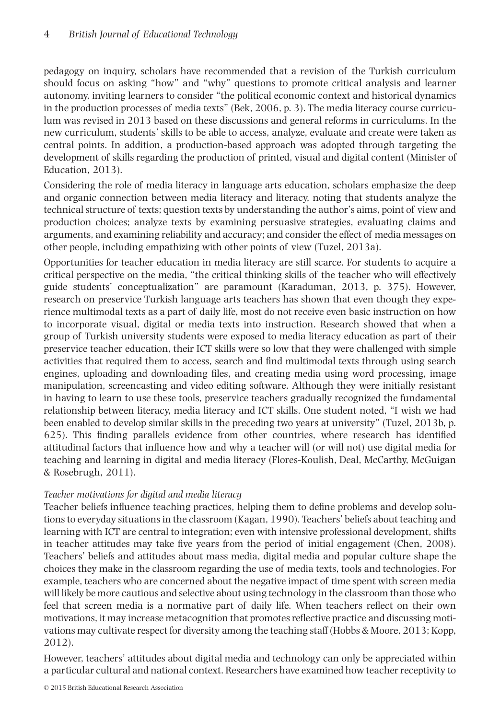pedagogy on inquiry, scholars have recommended that a revision of the Turkish curriculum should focus on asking "how" and "why" questions to promote critical analysis and learner autonomy, inviting learners to consider "the political economic context and historical dynamics in the production processes of media texts" (Bek, 2006, p. 3). The media literacy course curriculum was revised in 2013 based on these discussions and general reforms in curriculums. In the new curriculum, students' skills to be able to access, analyze, evaluate and create were taken as central points. In addition, a production-based approach was adopted through targeting the development of skills regarding the production of printed, visual and digital content (Minister of Education, 2013).

Considering the role of media literacy in language arts education, scholars emphasize the deep and organic connection between media literacy and literacy, noting that students analyze the technical structure of texts; question texts by understanding the author's aims, point of view and production choices; analyze texts by examining persuasive strategies, evaluating claims and arguments, and examining reliability and accuracy; and consider the effect of media messages on other people, including empathizing with other points of view (Tuzel, 2013a).

Opportunities for teacher education in media literacy are still scarce. For students to acquire a critical perspective on the media, "the critical thinking skills of the teacher who will effectively guide students' conceptualization" are paramount (Karaduman, 2013, p. 375). However, research on preservice Turkish language arts teachers has shown that even though they experience multimodal texts as a part of daily life, most do not receive even basic instruction on how to incorporate visual, digital or media texts into instruction. Research showed that when a group of Turkish university students were exposed to media literacy education as part of their preservice teacher education, their ICT skills were so low that they were challenged with simple activities that required them to access, search and find multimodal texts through using search engines, uploading and downloading files, and creating media using word processing, image manipulation, screencasting and video editing software. Although they were initially resistant in having to learn to use these tools, preservice teachers gradually recognized the fundamental relationship between literacy, media literacy and ICT skills. One student noted, "I wish we had been enabled to develop similar skills in the preceding two years at university" (Tuzel, 2013b, p. 625). This finding parallels evidence from other countries, where research has identified attitudinal factors that influence how and why a teacher will (or will not) use digital media for teaching and learning in digital and media literacy (Flores-Koulish, Deal, McCarthy, McGuigan & Rosebrugh, 2011).

## *Teacher motivations for digital and media literacy*

Teacher beliefs influence teaching practices, helping them to define problems and develop solutions to everyday situations in the classroom (Kagan, 1990). Teachers' beliefs about teaching and learning with ICT are central to integration; even with intensive professional development, shifts in teacher attitudes may take five years from the period of initial engagement (Chen, 2008). Teachers' beliefs and attitudes about mass media, digital media and popular culture shape the choices they make in the classroom regarding the use of media texts, tools and technologies. For example, teachers who are concerned about the negative impact of time spent with screen media will likely be more cautious and selective about using technology in the classroom than those who feel that screen media is a normative part of daily life. When teachers reflect on their own motivations, it may increase metacognition that promotes reflective practice and discussing motivations may cultivate respect for diversity among the teaching staff (Hobbs & Moore, 2013; Kopp, 2012).

However, teachers' attitudes about digital media and technology can only be appreciated within a particular cultural and national context. Researchers have examined how teacher receptivity to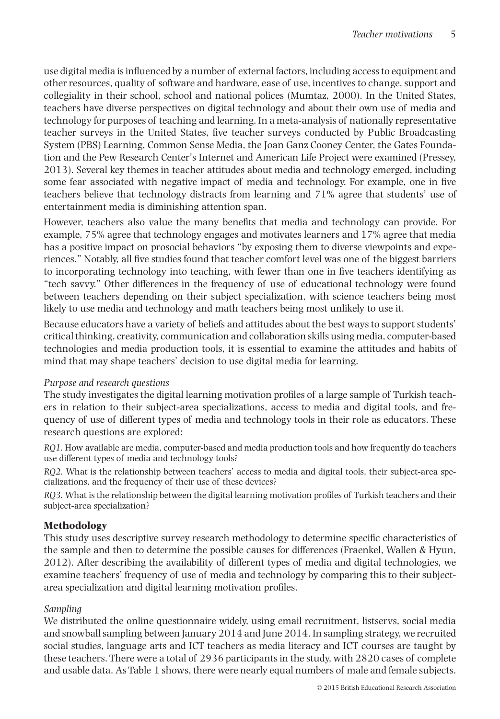use digital media is influenced by a number of external factors, including access to equipment and other resources, quality of software and hardware, ease of use, incentives to change, support and collegiality in their school, school and national polices (Mumtaz, 2000). In the United States, teachers have diverse perspectives on digital technology and about their own use of media and technology for purposes of teaching and learning. In a meta-analysis of nationally representative teacher surveys in the United States, five teacher surveys conducted by Public Broadcasting System (PBS) Learning, Common Sense Media, the Joan Ganz Cooney Center, the Gates Foundation and the Pew Research Center's Internet and American Life Project were examined (Pressey, 2013). Several key themes in teacher attitudes about media and technology emerged, including some fear associated with negative impact of media and technology. For example, one in five teachers believe that technology distracts from learning and 71% agree that students' use of entertainment media is diminishing attention span.

However, teachers also value the many benefits that media and technology can provide. For example, 75% agree that technology engages and motivates learners and 17% agree that media has a positive impact on prosocial behaviors "by exposing them to diverse viewpoints and experiences." Notably, all five studies found that teacher comfort level was one of the biggest barriers to incorporating technology into teaching, with fewer than one in five teachers identifying as "tech savvy." Other differences in the frequency of use of educational technology were found between teachers depending on their subject specialization, with science teachers being most likely to use media and technology and math teachers being most unlikely to use it.

Because educators have a variety of beliefs and attitudes about the best ways to support students' critical thinking, creativity, communication and collaboration skills using media, computer-based technologies and media production tools, it is essential to examine the attitudes and habits of mind that may shape teachers' decision to use digital media for learning.

## *Purpose and research questions*

The study investigates the digital learning motivation profiles of a large sample of Turkish teachers in relation to their subject-area specializations, access to media and digital tools, and frequency of use of different types of media and technology tools in their role as educators. These research questions are explored:

*RQ1.* How available are media, computer-based and media production tools and how frequently do teachers use different types of media and technology tools?

*RQ2.* What is the relationship between teachers' access to media and digital tools, their subject-area specializations, and the frequency of their use of these devices?

*RQ3.* What is the relationship between the digital learning motivation profiles of Turkish teachers and their subject-area specialization?

## **Methodology**

This study uses descriptive survey research methodology to determine specific characteristics of the sample and then to determine the possible causes for differences (Fraenkel, Wallen & Hyun, 2012). After describing the availability of different types of media and digital technologies, we examine teachers' frequency of use of media and technology by comparing this to their subjectarea specialization and digital learning motivation profiles.

## *Sampling*

We distributed the online questionnaire widely, using email recruitment, listservs, social media and snowball sampling between January 2014 and June 2014. In sampling strategy, we recruited social studies, language arts and ICT teachers as media literacy and ICT courses are taught by these teachers. There were a total of 2936 participants in the study, with 2820 cases of complete and usable data. As Table 1 shows, there were nearly equal numbers of male and female subjects.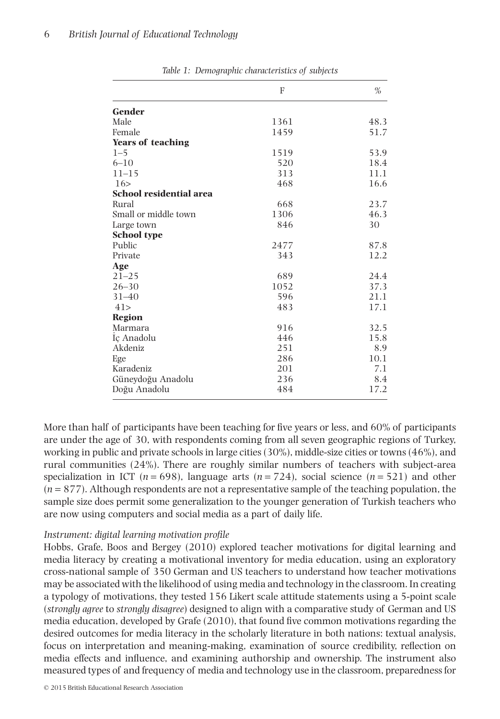|                                | F    | $\%$ |
|--------------------------------|------|------|
| Gender                         |      |      |
| Male                           | 1361 | 48.3 |
| Female                         | 1459 | 51.7 |
| <b>Years of teaching</b>       |      |      |
| $1 - 5$                        | 1519 | 53.9 |
| $6 - 10$                       | 520  | 18.4 |
| $11 - 15$                      | 313  | 11.1 |
| 16 >                           | 468  | 16.6 |
| <b>School residential area</b> |      |      |
| Rural                          | 668  | 23.7 |
| Small or middle town           | 1306 | 46.3 |
| Large town                     | 846  | 30   |
| <b>School type</b>             |      |      |
| Public                         | 2477 | 87.8 |
| Private                        | 343  | 12.2 |
| Age                            |      |      |
| $21 - 25$                      | 689  | 24.4 |
| $26 - 30$                      | 1052 | 37.3 |
| $31 - 40$                      | 596  | 21.1 |
| 41>                            | 483  | 17.1 |
| <b>Region</b>                  |      |      |
| Marmara                        | 916  | 32.5 |
| Iç Anadolu                     | 446  | 15.8 |
| Akdeniz                        | 251  | 8.9  |
| Ege                            | 286  | 10.1 |
| Karadeniz                      | 201  | 7.1  |
| Güneydoğu Anadolu              | 236  | 8.4  |
| Doğu Anadolu                   | 484  | 17.2 |

*Table 1: Demographic characteristics of subjects*

More than half of participants have been teaching for five years or less, and 60% of participants are under the age of 30, with respondents coming from all seven geographic regions of Turkey, working in public and private schools in large cities (30%), middle-size cities or towns (46%), and rural communities (24%). There are roughly similar numbers of teachers with subject-area specialization in ICT ( $n = 698$ ), language arts ( $n = 724$ ), social science ( $n = 521$ ) and other (*n* = 877). Although respondents are not a representative sample of the teaching population, the sample size does permit some generalization to the younger generation of Turkish teachers who are now using computers and social media as a part of daily life.

#### *Instrument: digital learning motivation profile*

Hobbs, Grafe, Boos and Bergey (2010) explored teacher motivations for digital learning and media literacy by creating a motivational inventory for media education, using an exploratory cross-national sample of 350 German and US teachers to understand how teacher motivations may be associated with the likelihood of using media and technology in the classroom. In creating a typology of motivations, they tested 156 Likert scale attitude statements using a 5-point scale (*strongly agree* to *strongly disagree*) designed to align with a comparative study of German and US media education, developed by Grafe (2010), that found five common motivations regarding the desired outcomes for media literacy in the scholarly literature in both nations: textual analysis, focus on interpretation and meaning-making, examination of source credibility, reflection on media effects and influence, and examining authorship and ownership. The instrument also measured types of and frequency of media and technology use in the classroom, preparedness for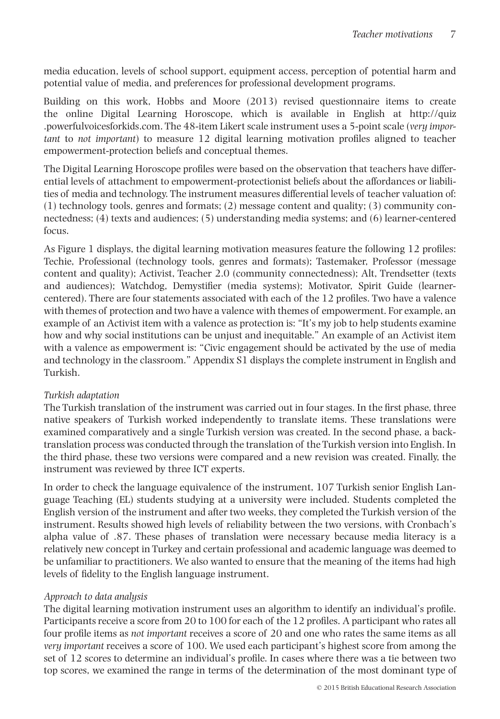media education, levels of school support, equipment access, perception of potential harm and potential value of media, and preferences for professional development programs.

Building on this work, Hobbs and Moore (2013) revised questionnaire items to create the online Digital Learning Horoscope, which is available in English at http://quiz .powerfulvoicesforkids.com. The 48-item Likert scale instrument uses a 5-point scale (*very important* to *not important*) to measure 12 digital learning motivation profiles aligned to teacher empowerment-protection beliefs and conceptual themes.

The Digital Learning Horoscope profiles were based on the observation that teachers have differential levels of attachment to empowerment-protectionist beliefs about the affordances or liabilities of media and technology. The instrument measures differential levels of teacher valuation of: (1) technology tools, genres and formats; (2) message content and quality; (3) community connectedness; (4) texts and audiences; (5) understanding media systems; and (6) learner-centered focus.

As Figure 1 displays, the digital learning motivation measures feature the following 12 profiles: Techie, Professional (technology tools, genres and formats); Tastemaker, Professor (message content and quality); Activist, Teacher 2.0 (community connectedness); Alt, Trendsetter (texts and audiences); Watchdog, Demystifier (media systems); Motivator, Spirit Guide (learnercentered). There are four statements associated with each of the 12 profiles. Two have a valence with themes of protection and two have a valence with themes of empowerment. For example, an example of an Activist item with a valence as protection is: "It's my job to help students examine how and why social institutions can be unjust and inequitable." An example of an Activist item with a valence as empowerment is: "Civic engagement should be activated by the use of media and technology in the classroom." Appendix S1 displays the complete instrument in English and Turkish.

## *Turkish adaptation*

The Turkish translation of the instrument was carried out in four stages. In the first phase, three native speakers of Turkish worked independently to translate items. These translations were examined comparatively and a single Turkish version was created. In the second phase, a backtranslation process was conducted through the translation of the Turkish version into English. In the third phase, these two versions were compared and a new revision was created. Finally, the instrument was reviewed by three ICT experts.

In order to check the language equivalence of the instrument, 107 Turkish senior English Language Teaching (EL) students studying at a university were included. Students completed the English version of the instrument and after two weeks, they completed the Turkish version of the instrument. Results showed high levels of reliability between the two versions, with Cronbach's alpha value of .87. These phases of translation were necessary because media literacy is a relatively new concept in Turkey and certain professional and academic language was deemed to be unfamiliar to practitioners. We also wanted to ensure that the meaning of the items had high levels of fidelity to the English language instrument.

## *Approach to data analysis*

The digital learning motivation instrument uses an algorithm to identify an individual's profile. Participants receive a score from 20 to 100 for each of the 12 profiles. A participant who rates all four profile items as *not important* receives a score of 20 and one who rates the same items as all *very important* receives a score of 100. We used each participant's highest score from among the set of 12 scores to determine an individual's profile. In cases where there was a tie between two top scores, we examined the range in terms of the determination of the most dominant type of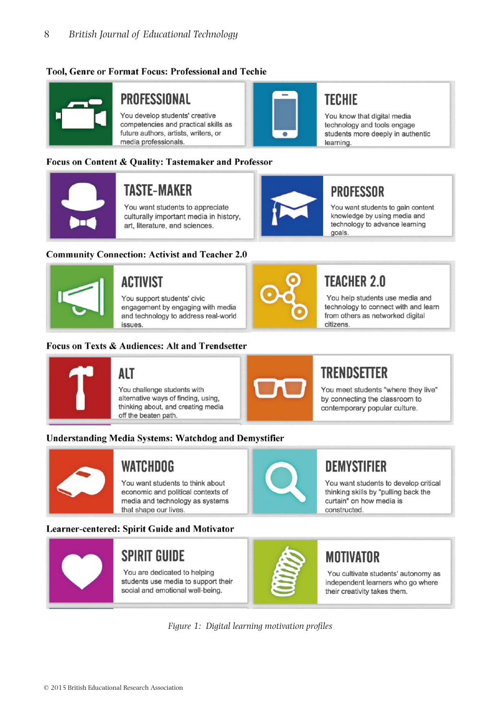## **Tool. Genre or Format Focus: Professional and Techie**



## PROFESSIONAL

You develop students' creative competencies and practical skills as future authors, artists, writers, or media professionals.

## Focus on Content & Ouality: Tastemaker and Professor



# **TASTE-MAKER**

You want students to appreciate culturally important media in history. art, literature, and sciences.

### **Community Connection: Activist and Teacher 2.0**



# **ACTIVIST**

You support students' civic engagement by engaging with media and technology to address real-world **PALIPS** 

### Focus on Texts & Audiences: Alt and Trendsetter



goals.

**PROFESSOR** 

You help students use media and technology to connect with and learn from others as networked digital citizens.

## **ALT**

You challenge students with alternative ways of finding, using, thinking about, and creating media off the beaten path.



# **TRENDSETTER**

You meet students "where they live" by connecting the classroom to contemporary popular culture.

## **Understanding Media Systems: Watchdog and Demystifier**



## **WATCHDOG**

You want students to think about economic and political contexts of media and technology as systems that shape our lives.

## Learner-centered: Spirit Guide and Motivator



# **SPIRIT GUIDE**

You are dedicated to helping students use media to support their social and emotional well-being.



# **DEMYSTIFIER**

You want students to develop critical thinking skills by "pulling back the curtain" on how media is constructed.

# **MOTIVATOR**

You cultivate students' autonomy as independent learners who go where their creativity takes them.

*Figure 1: Digital learning motivation profiles*



# **TECHIE**

You know that digital media technology and tools engage students more deeply in authentic learning.

You want students to gain content

knowledge by using media and technology to advance learning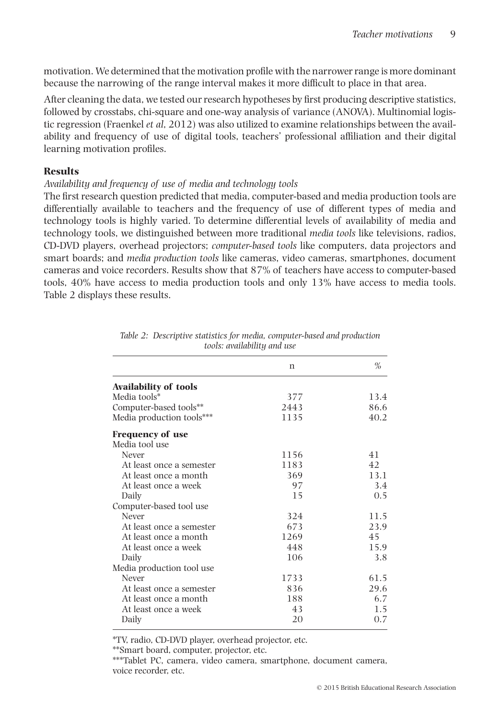motivation. We determined that the motivation profile with the narrower range is more dominant because the narrowing of the range interval makes it more difficult to place in that area.

After cleaning the data, we tested our research hypotheses by first producing descriptive statistics, followed by crosstabs, chi-square and one-way analysis of variance (ANOVA). Multinomial logistic regression (Fraenkel *et al*, 2012) was also utilized to examine relationships between the availability and frequency of use of digital tools, teachers' professional affiliation and their digital learning motivation profiles.

## **Results**

## *Availability and frequency of use of media and technology tools*

The first research question predicted that media, computer-based and media production tools are differentially available to teachers and the frequency of use of different types of media and technology tools is highly varied. To determine differential levels of availability of media and technology tools, we distinguished between more traditional *media tools* like televisions, radios, CD-DVD players, overhead projectors; *computer-based tools* like computers, data projectors and smart boards; and *media production tools* like cameras, video cameras, smartphones, document cameras and voice recorders. Results show that 87% of teachers have access to computer-based tools, 40% have access to media production tools and only 13% have access to media tools. Table 2 displays these results.

|                              | n    | $\%$ |
|------------------------------|------|------|
| <b>Availability of tools</b> |      |      |
| Media tools*                 | 377  | 13.4 |
| Computer-based tools**       | 2443 | 86.6 |
| Media production tools***    | 1135 | 40.2 |
| <b>Frequency of use</b>      |      |      |
| Media tool use               |      |      |
| Never                        | 1156 | 41   |
| At least once a semester     | 1183 | 42   |
| At least once a month        | 369  | 13.1 |
| At least once a week         | 97   | 3.4  |
| Daily                        | 15   | 0.5  |
| Computer-based tool use      |      |      |
| Never                        | 324  | 11.5 |
| At least once a semester     | 673  | 23.9 |
| At least once a month        | 1269 | 45   |
| At least once a week         | 448  | 15.9 |
| Daily                        | 106  | 3.8  |
| Media production tool use    |      |      |
| Never                        | 1733 | 61.5 |
| At least once a semester     | 836  | 29.6 |
| At least once a month        | 188  | 6.7  |
| At least once a week         | 43   | 1.5  |
| Daily                        | 20   | 0.7  |
|                              |      |      |

|                             | Table 2: Descriptive statistics for media, computer-based and production |
|-----------------------------|--------------------------------------------------------------------------|
| tools: availability and use |                                                                          |

\*TV, radio, CD-DVD player, overhead projector, etc.

\*\*Smart board, computer, projector, etc.

\*\*\*Tablet PC, camera, video camera, smartphone, document camera, voice recorder, etc.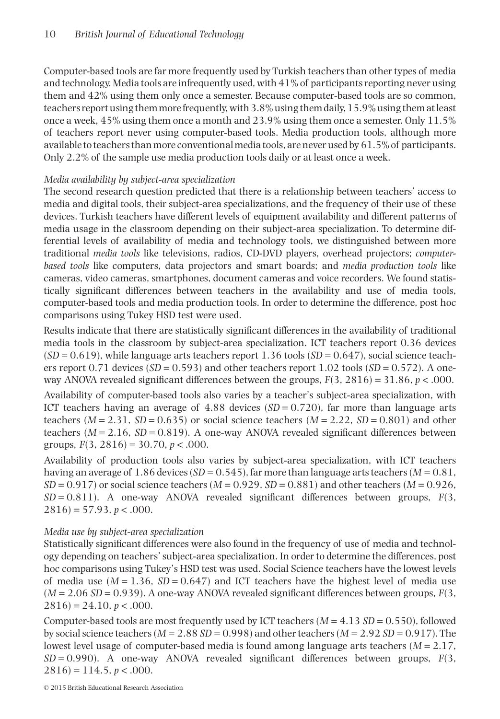Computer-based tools are far more frequently used by Turkish teachers than other types of media and technology. Media tools are infrequently used, with 41% of participants reporting never using them and 42% using them only once a semester. Because computer-based tools are so common, teachers report using them more frequently, with 3.8% using them daily, 15.9% using them at least once a week, 45% using them once a month and 23.9% using them once a semester. Only 11.5% of teachers report never using computer-based tools. Media production tools, although more available to teachers than more conventional media tools, are never used by 61.5% of participants. Only 2.2% of the sample use media production tools daily or at least once a week.

## *Media availability by subject-area specialization*

The second research question predicted that there is a relationship between teachers' access to media and digital tools, their subject-area specializations, and the frequency of their use of these devices. Turkish teachers have different levels of equipment availability and different patterns of media usage in the classroom depending on their subject-area specialization. To determine differential levels of availability of media and technology tools, we distinguished between more traditional *media tools* like televisions, radios, CD-DVD players, overhead projectors; *computerbased tools* like computers, data projectors and smart boards; and *media production tools* like cameras, video cameras, smartphones, document cameras and voice recorders. We found statistically significant differences between teachers in the availability and use of media tools, computer-based tools and media production tools. In order to determine the difference, post hoc comparisons using Tukey HSD test were used.

Results indicate that there are statistically significant differences in the availability of traditional media tools in the classroom by subject-area specialization. ICT teachers report 0.36 devices  $(SD = 0.619)$ , while language arts teachers report 1.36 tools  $(SD = 0.647)$ , social science teachers report 0.71 devices (*SD* = 0.593) and other teachers report 1.02 tools (*SD* = 0.572). A oneway ANOVA revealed significant differences between the groups, *F*(3, 2816) = 31.86, *p* < .000.

Availability of computer-based tools also varies by a teacher's subject-area specialization, with ICT teachers having an average of  $4.88$  devices  $(SD = 0.720)$ , far more than language arts teachers  $(M = 2.31, SD = 0.635)$  or social science teachers  $(M = 2.22, SD = 0.801)$  and other teachers ( $M = 2.16$ ,  $SD = 0.819$ ). A one-way ANOVA revealed significant differences between groups, *F*(3, 2816) = 30.70, *p* < .000.

Availability of production tools also varies by subject-area specialization, with ICT teachers having an average of 1.86 devices (*SD* = 0.545), far more than language arts teachers (*M* = 0.81, *SD* = 0.917) or social science teachers (*M* = 0.929, *SD* = 0.881) and other teachers (*M* = 0.926, *SD* = 0.811). A one-way ANOVA revealed significant differences between groups, *F*(3,  $2816$ ) = 57.93, *p* < .000.

## *Media use by subject-area specialization*

Statistically significant differences were also found in the frequency of use of media and technology depending on teachers' subject-area specialization. In order to determine the differences, post hoc comparisons using Tukey's HSD test was used. Social Science teachers have the lowest levels of media use  $(M = 1.36, SD = 0.647)$  and ICT teachers have the highest level of media use  $(M = 2.06 SD = 0.939)$ . A one-way ANOVA revealed significant differences between groups,  $F(3, 1)$  $2816$ ) = 24.10, *p* < .000.

Computer-based tools are most frequently used by ICT teachers  $(M = 4.13 S D = 0.550)$ , followed by social science teachers (*M* = 2.88 *SD* = 0.998) and other teachers (*M* = 2.92 *SD* = 0.917). The lowest level usage of computer-based media is found among language arts teachers (*M* = 2.17, *SD* = 0.990). A one-way ANOVA revealed significant differences between groups, *F*(3,  $2816$ ) = 114.5, *p* < .000.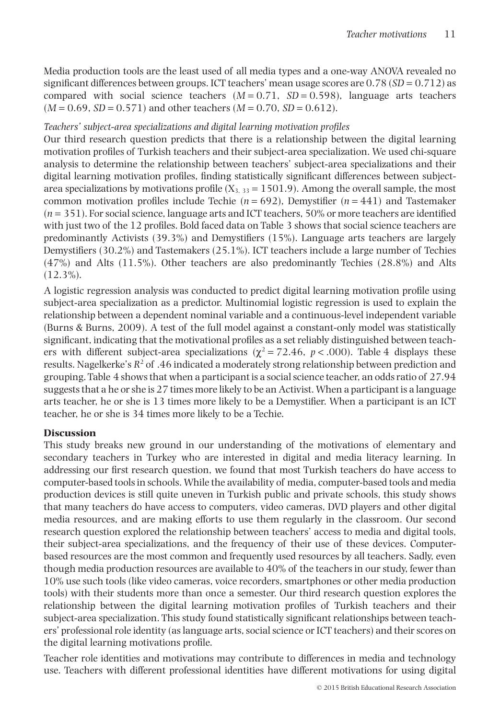Media production tools are the least used of all media types and a one-way ANOVA revealed no significant differences between groups. ICT teachers' mean usage scores are 0.78 (*SD* = 0.712) as compared with social science teachers  $(M = 0.71, SD = 0.598)$ , language arts teachers  $(M = 0.69, SD = 0.571)$  and other teachers  $(M = 0.70, SD = 0.612)$ .

## *Teachers' subject-area specializations and digital learning motivation profiles*

Our third research question predicts that there is a relationship between the digital learning motivation profiles of Turkish teachers and their subject-area specialization. We used chi-square analysis to determine the relationship between teachers' subject-area specializations and their digital learning motivation profiles, finding statistically significant differences between subjectarea specializations by motivations profile  $(X_3, Y_3 = 1501.9)$ . Among the overall sample, the most common motivation profiles include Techie  $(n = 692)$ , Demystifier  $(n = 441)$  and Tastemaker (*n* = 351). For social science, language arts and ICT teachers, 50% or more teachers are identified with just two of the 12 profiles. Bold faced data on Table 3 shows that social science teachers are predominantly Activists (39.3%) and Demystifiers (15%). Language arts teachers are largely Demystifiers (30.2%) and Tastemakers (25.1%). ICT teachers include a large number of Techies (47%) and Alts (11.5%). Other teachers are also predominantly Techies (28.8%) and Alts  $(12.3\%)$ .

A logistic regression analysis was conducted to predict digital learning motivation profile using subject-area specialization as a predictor. Multinomial logistic regression is used to explain the relationship between a dependent nominal variable and a continuous-level independent variable (Burns & Burns, 2009). A test of the full model against a constant-only model was statistically significant, indicating that the motivational profiles as a set reliably distinguished between teachers with different subject-area specializations ( $\chi^2$  = 72.46, *p* < .000). Table 4 displays these results. Nagelkerke's  $R^2$  of .46 indicated a moderately strong relationship between prediction and grouping. Table 4 shows that when a participant is a social science teacher, an odds ratio of 27.94 suggests that a he or she is 27 times more likely to be an Activist. When a participant is a language arts teacher, he or she is 13 times more likely to be a Demystifier. When a participant is an ICT teacher, he or she is 34 times more likely to be a Techie.

## **Discussion**

This study breaks new ground in our understanding of the motivations of elementary and secondary teachers in Turkey who are interested in digital and media literacy learning. In addressing our first research question, we found that most Turkish teachers do have access to computer-based tools in schools. While the availability of media, computer-based tools and media production devices is still quite uneven in Turkish public and private schools, this study shows that many teachers do have access to computers, video cameras, DVD players and other digital media resources, and are making efforts to use them regularly in the classroom. Our second research question explored the relationship between teachers' access to media and digital tools, their subject-area specializations, and the frequency of their use of these devices. Computerbased resources are the most common and frequently used resources by all teachers. Sadly, even though media production resources are available to 40% of the teachers in our study, fewer than 10% use such tools (like video cameras, voice recorders, smartphones or other media production tools) with their students more than once a semester. Our third research question explores the relationship between the digital learning motivation profiles of Turkish teachers and their subject-area specialization. This study found statistically significant relationships between teachers' professional role identity (as language arts, social science or ICT teachers) and their scores on the digital learning motivations profile.

Teacher role identities and motivations may contribute to differences in media and technology use. Teachers with different professional identities have different motivations for using digital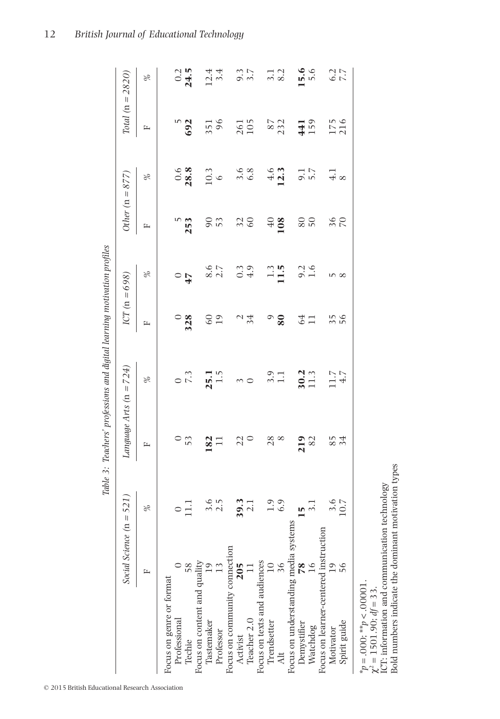|                                              |                   |                    |           | Table 3: Teachers' professions and digital learning motivation profiles |         |                   |                 |                        |            |                      |
|----------------------------------------------|-------------------|--------------------|-----------|-------------------------------------------------------------------------|---------|-------------------|-----------------|------------------------|------------|----------------------|
|                                              | Social Science (n | $= 521$            |           | Language Arts ( $n = 724$ )                                             |         | ICT ( $n = 698$ ) |                 | Other $(n = 877)$      |            | Total ( $n = 2820$ ) |
|                                              |                   | $\%$               | E         | $\%$                                                                    | E       | $\%$              | $\mathbf{r}$    | $\%$                   | E          | L                    |
| Focus on genre or format                     |                   |                    |           |                                                                         |         |                   |                 |                        |            |                      |
| Professional                                 |                   |                    |           |                                                                         |         | $\circ$           | ഗ               |                        | m          |                      |
|                                              |                   | $\Xi$              | 53        | 7.3                                                                     | 328     | $\frac{1}{4}$     | 253             | $0.6$<br>28.8          | 692        | $\frac{0.2}{24.5}$   |
|                                              |                   |                    |           |                                                                         |         |                   |                 |                        |            |                      |
| Techie<br>Focus on content and quality<br>19 |                   | 3.6                |           |                                                                         | $_{60}$ |                   |                 |                        |            |                      |
| Professor                                    |                   | 2.5                | 182<br>11 | $25.1$<br>1.5                                                           | 19      | $rac{6}{2.7}$     | 90              | $\frac{0.3}{6}$        | 351<br>96  | $12.4$<br>$3.4$      |
| Focus on community connection                |                   |                    |           |                                                                         |         |                   |                 |                        |            |                      |
| Activist                                     | 205               | 39.3               | 22        | 3                                                                       |         | $\frac{3}{4}$ .9  | $\frac{2}{60}$  | ی به<br>6.6            | 261<br>105 | 9.7<br>3.7           |
| Teacher 2.0                                  |                   | $\overline{2.1}$   |           | $\circ$                                                                 | 34      |                   |                 |                        |            |                      |
| Focus on texts and audiences                 |                   |                    |           |                                                                         |         |                   |                 |                        |            |                      |
| Trendsetter                                  | $\overline{10}$   |                    | 28        |                                                                         | $\circ$ |                   | $\overline{40}$ |                        |            |                      |
| Alt                                          | 36                | $\frac{0.9}{0.9}$  | $\infty$  | $\frac{3.1}{1.1}$                                                       | 80      | $\frac{13}{11.5}$ | 108             | $\frac{4.6}{12.3}$     | 87<br>232  | $\frac{1}{3}$ .2     |
| Focus on understanding media systems         |                   |                    |           |                                                                         |         |                   |                 |                        |            |                      |
| Demystifier                                  | $\overline{8}$    | $\frac{15}{1}$     | 219       | $30.2$<br>11.3                                                          | 64      | $\frac{2}{1.6}$   | 80              | $\frac{1}{5.7}$        | 141        | 15.6                 |
| Watchdog                                     |                   |                    | 82        |                                                                         | $\Box$  |                   | $50\,$          |                        | 159        | 5.6                  |
| Focus on learner-centered instruction        |                   |                    |           |                                                                         |         |                   |                 |                        |            |                      |
| Motivator                                    |                   |                    | 85        | $11.7$<br>4.7                                                           |         | S                 | $rac{6}{20}$    | $\frac{1}{4}$ $\infty$ | 175<br>216 | 6.7<br>7.7           |
| Spirit guide                                 | Ρç                | $\frac{3.6}{10.7}$ | 34        |                                                                         | 56      | $^{\circ}$        |                 |                        |            |                      |
|                                              |                   |                    |           |                                                                         |         |                   |                 |                        |            |                      |

\**p* = .000; \*\**p* < .00001.  $\chi^2 = 1501.90; df = 33.$ 

 $*_p = .000;$   $^{**}p < .00001$ .<br>  $\chi^2 = 1501.90; d f = 33$ .<br>
ICT: information and communication technology<br>
Bold numbers indicate the dominant motivation types Bold numbers indicate the dominant motivation types ICT: information and communication technology

12 *British Journal of Educational Technology*

© 2015 British Educational Research Association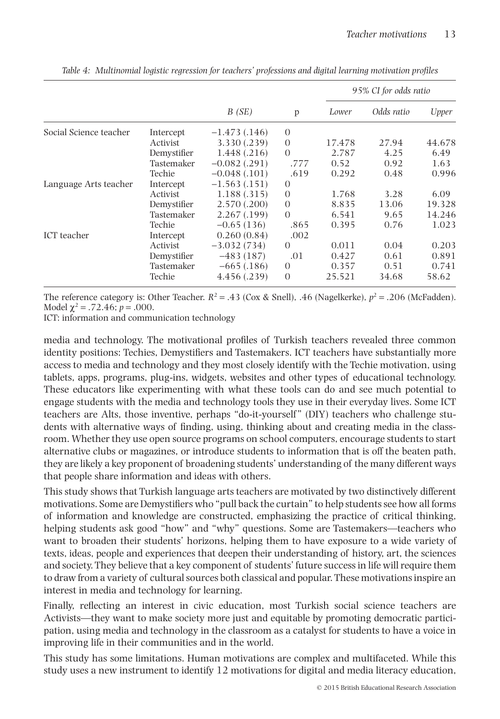|                        |             |                 |          |        | 95% CI for odds ratio |        |  |  |
|------------------------|-------------|-----------------|----------|--------|-----------------------|--------|--|--|
|                        |             | B(SE)           | p        | Lower  | Odds ratio            | Upper  |  |  |
| Social Science teacher | Intercept   | $-1.473(0.146)$ | $\theta$ |        |                       |        |  |  |
|                        | Activist    | 3.330 (.239)    | $\Omega$ | 17.478 | 27.94                 | 44.678 |  |  |
|                        | Demystifier | 1.448 (.216)    | $\Omega$ | 2.787  | 4.25                  | 6.49   |  |  |
|                        | Tastemaker  | $-0.082$ (.291) | .777     | 0.52   | 0.92                  | 1.63   |  |  |
|                        | Techie      | $-0.048(0.101)$ | .619     | 0.292  | 0.48                  | 0.996  |  |  |
| Language Arts teacher  | Intercept   | $-1.563(0.151)$ | $\Omega$ |        |                       |        |  |  |
|                        | Activist    | 1.188(.315)     | $\theta$ | 1.768  | 3.28                  | 6.09   |  |  |
|                        | Demystifier | 2.570(.200)     | $\theta$ | 8.835  | 13.06                 | 19.328 |  |  |
|                        | Tastemaker  | 2.267(.199)     | $\Omega$ | 6.541  | 9.65                  | 14.246 |  |  |
|                        | Techie      | $-0.65(136)$    | .865     | 0.395  | 0.76                  | 1.023  |  |  |
| ICT teacher            | Intercept   | 0.260(0.84)     | .002     |        |                       |        |  |  |
|                        | Activist    | $-3.032(734)$   | $\Omega$ | 0.011  | 0.04                  | 0.203  |  |  |
|                        | Demystifier | $-483(187)$     | .01      | 0.427  | 0.61                  | 0.891  |  |  |
|                        | Tastemaker  | $-665(.186)$    | $\theta$ | 0.357  | 0.51                  | 0.741  |  |  |
|                        | Techie      | 4.456 (.239)    | $\Omega$ | 25.521 | 34.68                 | 58.62  |  |  |

*Table 4: Multinomial logistic regression for teachers' professions and digital learning motivation profiles*

The reference category is: Other Teacher.  $R^2 = .43$  (Cox & Snell), .46 (Nagelkerke),  $p^2 = .206$  (McFadden). Model  $\chi^2$  = .72.46; *p* = .000.

ICT: information and communication technology

media and technology. The motivational profiles of Turkish teachers revealed three common identity positions: Techies, Demystifiers and Tastemakers. ICT teachers have substantially more access to media and technology and they most closely identify with the Techie motivation, using tablets, apps, programs, plug-ins, widgets, websites and other types of educational technology. These educators like experimenting with what these tools can do and see much potential to engage students with the media and technology tools they use in their everyday lives. Some ICT teachers are Alts, those inventive, perhaps "do-it-yourself " (DIY) teachers who challenge students with alternative ways of finding, using, thinking about and creating media in the classroom. Whether they use open source programs on school computers, encourage students to start alternative clubs or magazines, or introduce students to information that is off the beaten path, they are likely a key proponent of broadening students' understanding of the many different ways that people share information and ideas with others.

This study shows that Turkish language arts teachers are motivated by two distinctively different motivations. Some are Demystifiers who "pull back the curtain" to help students see how all forms of information and knowledge are constructed, emphasizing the practice of critical thinking, helping students ask good "how" and "why" questions. Some are Tastemakers—teachers who want to broaden their students' horizons, helping them to have exposure to a wide variety of texts, ideas, people and experiences that deepen their understanding of history, art, the sciences and society. They believe that a key component of students' future success in life will require them to draw from a variety of cultural sources both classical and popular. These motivations inspire an interest in media and technology for learning.

Finally, reflecting an interest in civic education, most Turkish social science teachers are Activists—they want to make society more just and equitable by promoting democratic participation, using media and technology in the classroom as a catalyst for students to have a voice in improving life in their communities and in the world.

This study has some limitations. Human motivations are complex and multifaceted. While this study uses a new instrument to identify 12 motivations for digital and media literacy education,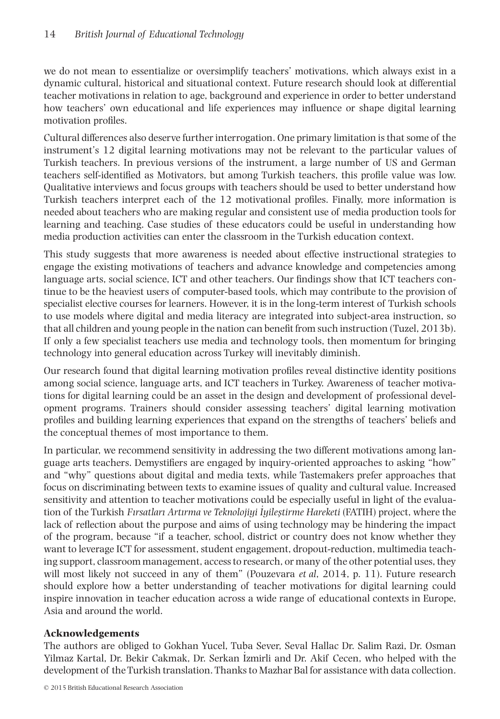we do not mean to essentialize or oversimplify teachers' motivations, which always exist in a dynamic cultural, historical and situational context. Future research should look at differential teacher motivations in relation to age, background and experience in order to better understand how teachers' own educational and life experiences may influence or shape digital learning motivation profiles.

Cultural differences also deserve further interrogation. One primary limitation is that some of the instrument's 12 digital learning motivations may not be relevant to the particular values of Turkish teachers. In previous versions of the instrument, a large number of US and German teachers self-identified as Motivators, but among Turkish teachers, this profile value was low. Qualitative interviews and focus groups with teachers should be used to better understand how Turkish teachers interpret each of the 12 motivational profiles. Finally, more information is needed about teachers who are making regular and consistent use of media production tools for learning and teaching. Case studies of these educators could be useful in understanding how media production activities can enter the classroom in the Turkish education context.

This study suggests that more awareness is needed about effective instructional strategies to engage the existing motivations of teachers and advance knowledge and competencies among language arts, social science, ICT and other teachers. Our findings show that ICT teachers continue to be the heaviest users of computer-based tools, which may contribute to the provision of specialist elective courses for learners. However, it is in the long-term interest of Turkish schools to use models where digital and media literacy are integrated into subject-area instruction, so that all children and young people in the nation can benefit from such instruction (Tuzel, 2013b). If only a few specialist teachers use media and technology tools, then momentum for bringing technology into general education across Turkey will inevitably diminish.

Our research found that digital learning motivation profiles reveal distinctive identity positions among social science, language arts, and ICT teachers in Turkey. Awareness of teacher motivations for digital learning could be an asset in the design and development of professional development programs. Trainers should consider assessing teachers' digital learning motivation profiles and building learning experiences that expand on the strengths of teachers' beliefs and the conceptual themes of most importance to them.

In particular, we recommend sensitivity in addressing the two different motivations among language arts teachers. Demystifiers are engaged by inquiry-oriented approaches to asking "how" and "why" questions about digital and media texts, while Tastemakers prefer approaches that focus on discriminating between texts to examine issues of quality and cultural value. Increased sensitivity and attention to teacher motivations could be especially useful in light of the evaluation of the Turkish *Fırsatları Artırma ve Teknolojiyi Iyileştirme Hareketi* (FATIH) project, where the lack of reflection about the purpose and aims of using technology may be hindering the impact of the program, because "if a teacher, school, district or country does not know whether they want to leverage ICT for assessment, student engagement, dropout-reduction, multimedia teaching support, classroom management, access to research, or many of the other potential uses, they will most likely not succeed in any of them" (Pouzevara *et al*, 2014, p. 11). Future research should explore how a better understanding of teacher motivations for digital learning could inspire innovation in teacher education across a wide range of educational contexts in Europe, Asia and around the world.

## **Acknowledgements**

The authors are obliged to Gokhan Yucel, Tuba Sever, Seval Hallac Dr. Salim Razi, Dr. Osman Yilmaz Kartal, Dr. Bekir Cakmak, Dr. Serkan Izmirli and Dr. Akif Cecen, who helped with the development of the Turkish translation. Thanks to Mazhar Bal for assistance with data collection.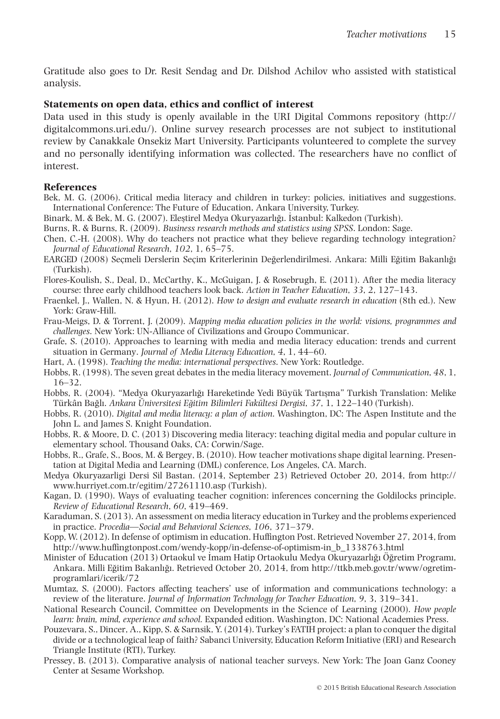Gratitude also goes to Dr. Resit Sendag and Dr. Dilshod Achilov who assisted with statistical analysis.

## **Statements on open data, ethics and conflict of interest**

Data used in this study is openly available in the URI Digital Commons repository (http:// digitalcommons.uri.edu/). Online survey research processes are not subject to institutional review by Canakkale Onsekiz Mart University. Participants volunteered to complete the survey and no personally identifying information was collected. The researchers have no conflict of interest.

## **References**

- Bek, M. G. (2006). Critical media literacy and children in turkey: policies, initiatives and suggestions. International Conference: The Future of Education, Ankara University, Turkey.
- Binark, M. & Bek, M. G. (2007). Elestirel Medya Okuryazarlığı, İstanbul: Kalkedon (Turkish).
- Burns, R. & Burns, R. (2009). *Business research methods and statistics using SPSS*. London: Sage.
- Chen, C.-H. (2008). Why do teachers not practice what they believe regarding technology integration? *Journal of Educational Research*, *102*, 1, 65–75.
- EARGED (2008) Secmeli Derslerin Secim Kriterlerinin Değerlendirilmesi. Ankara: Milli Eğitim Bakanlığı (Turkish).
- Flores-Koulish, S., Deal, D., McCarthy, K., McGuigan, J. & Rosebrugh, E. (2011). After the media literacy course: three early childhood teachers look back. *Action in Teacher Education*, *33*, 2, 127–143.
- Fraenkel, J., Wallen, N. & Hyun, H. (2012). *How to design and evaluate research in education* (8th ed.). New York: Graw-Hill.
- Frau-Meigs, D. & Torrent, J. (2009). *Mapping media education policies in the world: visions, programmes and challenges*. New York: UN-Alliance of Civilizations and Groupo Communicar.
- Grafe, S. (2010). Approaches to learning with media and media literacy education: trends and current situation in Germany. *Journal of Media Literacy Education*, *4*, 1, 44–60.
- Hart, A. (1998). *Teaching the media: international perspectives*. New York: Routledge.
- Hobbs, R. (1998). The seven great debates in the media literacy movement. *Journal of Communication*, *48*, 1, 16–32.
- Hobbs, R. (2004). "Medya Okuryazarlığı Hareketinde Yedi Büyük Tartısma" Turkish Translation: Melike Türkân Bağlı. *Ankara Üniversitesi Eğitim Bilimleri Fakültesi Dergisi*, 37, 1, 122–140 (Turkish).
- Hobbs, R. (2010). *Digital and media literacy: a plan of action*. Washington, DC: The Aspen Institute and the John L. and James S. Knight Foundation.
- Hobbs, R. & Moore, D. C. (2013) Discovering media literacy: teaching digital media and popular culture in elementary school. Thousand Oaks, CA: Corwin/Sage.
- Hobbs, R., Grafe, S., Boos, M. & Bergey, B. (2010). How teacher motivations shape digital learning. Presentation at Digital Media and Learning (DML) conference, Los Angeles, CA. March.
- Medya Okuryazarligi Dersi Sil Bastan. (2014, September 23) Retrieved October 20, 2014, from http:// www.hurriyet.com.tr/egitim/27261110.asp (Turkish).
- Kagan, D. (1990). Ways of evaluating teacher cognition: inferences concerning the Goldilocks principle. *Review of Educational Research*, *60*, 419–469.
- Karaduman, S. (2013). An assessment on media literacy education in Turkey and the problems experienced in practice. *Procedia—Social and Behavioral Sciences*, *106*, 371–379.
- Kopp, W. (2012). In defense of optimism in education. Huffington Post. Retrieved November 27, 2014, from http://www.huffingtonpost.com/wendy-kopp/in-defense-of-optimism-in\_b\_1338763.html
- Minister of Education (2013) Ortaokul ve İmam Hatip Ortaokulu Medya Okuryazarlığı Öğretim Programı, Ankara. Milli Eğitim Bakanlığı. Retrieved October 20, 2014, from http://ttkb.meb.gov.tr/www/ogretimprogramlari/icerik/72
- Mumtaz, S. (2000). Factors affecting teachers' use of information and communications technology: a review of the literature. *Journal of Information Technology for Teacher Education*, *9*, 3, 319–341.
- National Research Council, Committee on Developments in the Science of Learning (2000). *How people learn: brain, mind, experience and school.* Expanded edition. Washington, DC: National Academies Press.
- Pouzevara, S., Dincer, A., Kipp, S. & Sarnsik, Y. (2014). Turkey's FATIH project: a plan to conquer the digital divide or a technological leap of faith? Sabanci University, Education Reform Initiative (ERI) and Research Triangle Institute (RTI), Turkey.
- Pressey, B. (2013). Comparative analysis of national teacher surveys. New York: The Joan Ganz Cooney Center at Sesame Workshop.